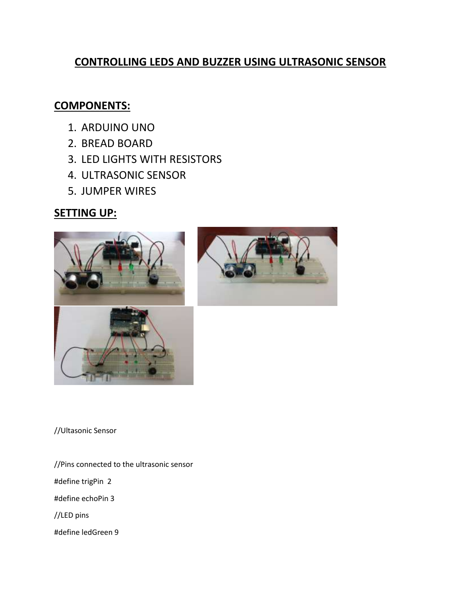## **CONTROLLING LEDS AND BUZZER USING ULTRASONIC SENSOR**

## **COMPONENTS:**

- 1. ARDUINO UNO
- 2. BREAD BOARD
- 3. LED LIGHTS WITH RESISTORS
- 4. ULTRASONIC SENSOR
- 5. JUMPER WIRES

# **SETTING UP:**





//Ultasonic Sensor

//Pins connected to the ultrasonic sensor #define trigPin 2 #define echoPin 3 //LED pins #define ledGreen 9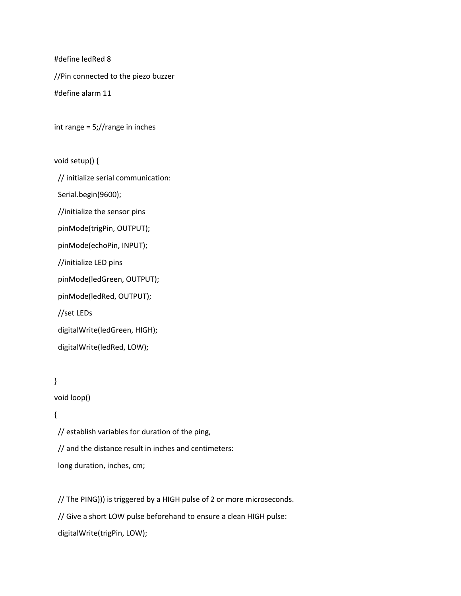#define ledRed 8

//Pin connected to the piezo buzzer

#define alarm 11

int range = 5;//range in inches

void setup() {

// initialize serial communication:

Serial.begin(9600);

//initialize the sensor pins

pinMode(trigPin, OUTPUT);

pinMode(echoPin, INPUT);

//initialize LED pins

pinMode(ledGreen, OUTPUT);

pinMode(ledRed, OUTPUT);

//set LEDs

digitalWrite(ledGreen, HIGH);

digitalWrite(ledRed, LOW);

#### }

void loop()

#### {

 // establish variables for duration of the ping, // and the distance result in inches and centimeters: long duration, inches, cm;

// The PING))) is triggered by a HIGH pulse of 2 or more microseconds.

// Give a short LOW pulse beforehand to ensure a clean HIGH pulse:

digitalWrite(trigPin, LOW);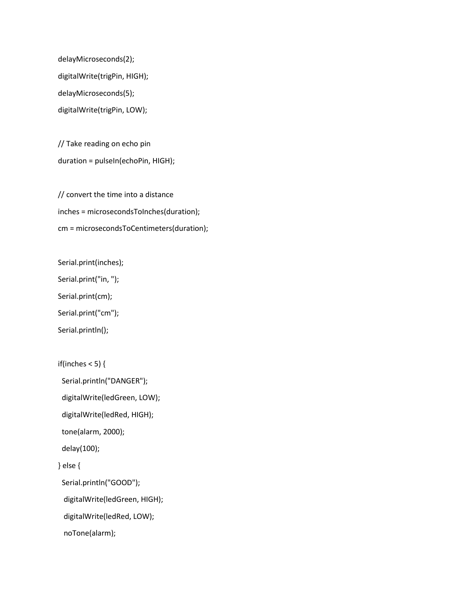delayMicroseconds(2); digitalWrite(trigPin, HIGH); delayMicroseconds(5); digitalWrite(trigPin, LOW);

 // Take reading on echo pin duration = pulseIn(echoPin, HIGH);

 // convert the time into a distance inches = microsecondsToInches(duration); cm = microsecondsToCentimeters(duration);

Serial.print(inches);

Serial.print("in, ");

Serial.print(cm);

Serial.print("cm");

Serial.println();

```
if(inches < 5) {
```
Serial.println("DANGER");

digitalWrite(ledGreen, LOW);

digitalWrite(ledRed, HIGH);

tone(alarm, 2000);

delay(100);

} else {

Serial.println("GOOD");

digitalWrite(ledGreen, HIGH);

digitalWrite(ledRed, LOW);

noTone(alarm);